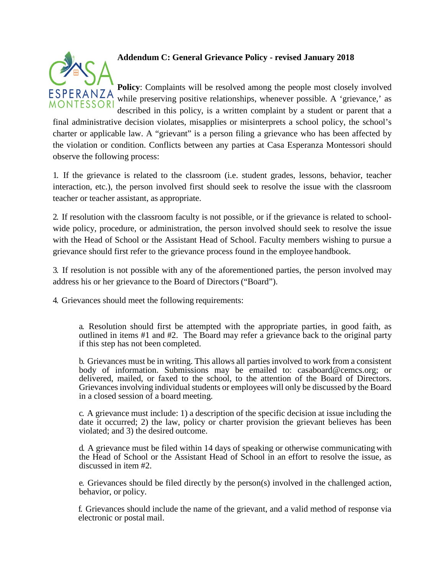

## **Addendum C: General Grievance Policy - revised January 2018**

**Policy**: Complaints will be resolved among the people most closely involved while preserving positive relationships, whenever possible. A 'grievance,' as described in this policy, is a written complaint by a student or parent that a

final administrative decision violates, misapplies or misinterprets a school policy, the school's charter or applicable law. A "grievant" is a person filing a grievance who has been affected by the violation or condition. Conflicts between any parties at Casa Esperanza Montessori should observe the following process:

1. If the grievance is related to the classroom (i.e. student grades, lessons, behavior, teacher interaction, etc.), the person involved first should seek to resolve the issue with the classroom teacher or teacher assistant, as appropriate.

2. If resolution with the classroom faculty is not possible, or if the grievance is related to schoolwide policy, procedure, or administration, the person involved should seek to resolve the issue with the Head of School or the Assistant Head of School. Faculty members wishing to pursue a grievance should first refer to the grievance process found in the employee handbook.

3. If resolution is not possible with any of the aforementioned parties, the person involved may address his or her grievance to the Board of Directors("Board").

4. Grievances should meet the following requirements:

a. Resolution should first be attempted with the appropriate parties, in good faith, as outlined in items #1 and #2. The Board may refer a grievance back to the original party if this step has not been completed.

b. Grievances must be in writing. This allows all parties involved to work from a consistent body of information. Submissions may be emailed to: casaboard@cemcs.org; or delivered, mailed, or faxed to the school, to the attention of the Board of Directors. Grievances involving individual students or employees will only be discussed by the Board in a closed session of a board meeting.

c. A grievance must include: 1) a description of the specific decision at issue including the date it occurred; 2) the law, policy or charter provision the grievant believes has been violated; and 3) the desired outcome.

d. A grievance must be filed within 14 days of speaking or otherwise communicating with the Head of School or the Assistant Head of School in an effort to resolve the issue, as discussed in item #2.

e. Grievances should be filed directly by the person(s) involved in the challenged action, behavior, or policy.

f. Grievances should include the name of the grievant, and a valid method of response via electronic or postal mail.